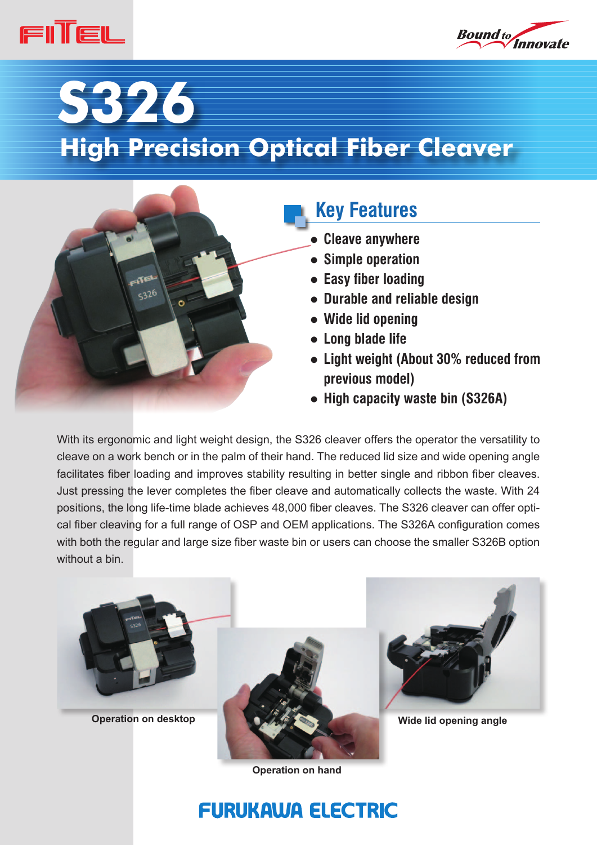



# **S326 High Precision Optical Fiber Cleaver**



# **Key Features**

- **Cleave anywhere**
- **Simple operation**
- **Easy fiber loading**
- **Durable and reliable design**
- **Wide lid opening**
- **Long blade life**
- **Light weight (About 30% reduced from previous model)**
- **High capacity waste bin (S326A)**

With its ergonomic and light weight design, the S326 cleaver offers the operator the versatility to cleave on a work bench or in the palm of their hand. The reduced lid size and wide opening angle facilitates fiber loading and improves stability resulting in better single and ribbon fiber cleaves. Just pressing the lever completes the fiber cleave and automatically collects the waste. With 24 positions, the long life-time blade achieves 48,000 fiber cleaves. The S326 cleaver can offer optical fiber cleaving for a full range of OSP and OEM applications. The S326A configuration comes with both the regular and large size fiber waste bin or users can choose the smaller S326B option without a bin.







**Operation on hand**

# **FURUKAWA ELECTRIC**